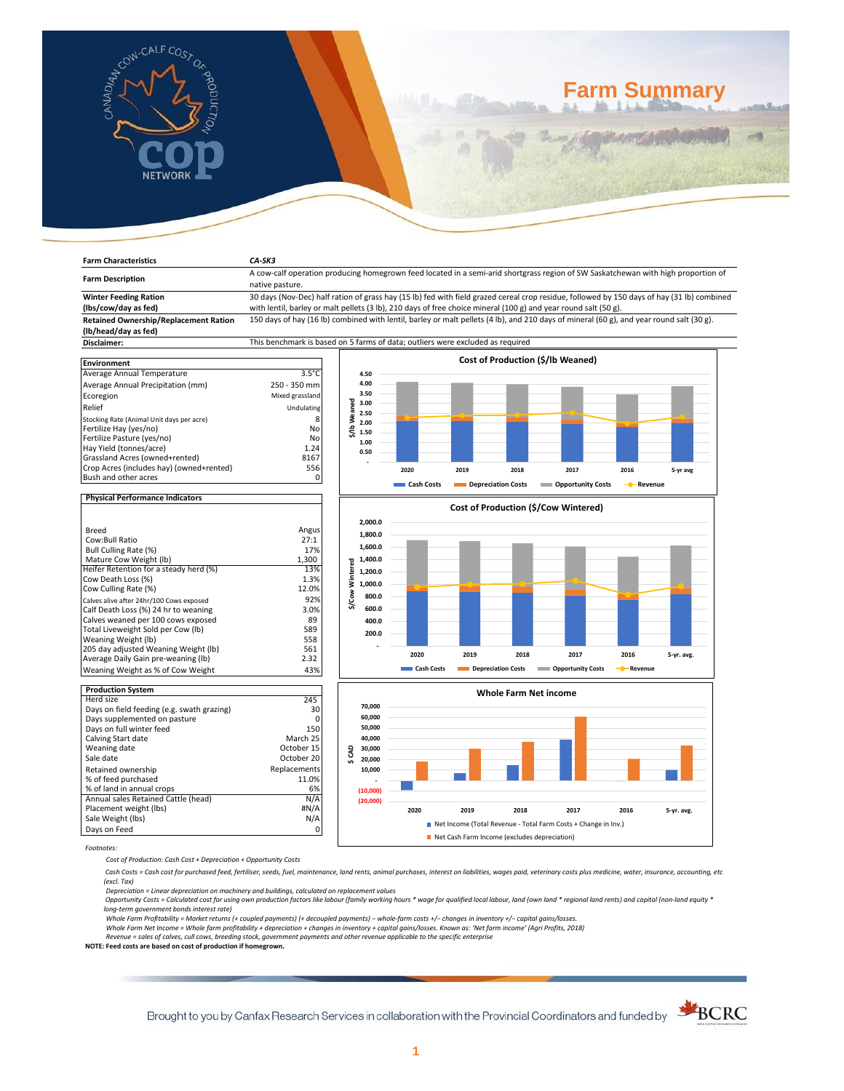

**Farm Characteristics** *CA-SK3*

# **Farm Summary**

| <b>Farm Description</b>                                                  | A cow-calf operation producing homegrown feed located in a semi-arid shortgrass region of SW Saskatchewan with high proportion of          |                          |            |                                      |                           |           |            |  |
|--------------------------------------------------------------------------|--------------------------------------------------------------------------------------------------------------------------------------------|--------------------------|------------|--------------------------------------|---------------------------|-----------|------------|--|
|                                                                          | native pasture.                                                                                                                            |                          |            |                                      |                           |           |            |  |
| <b>Winter Feeding Ration</b>                                             | 30 days (Nov-Dec) half ration of grass hay (15 lb) fed with field grazed cereal crop residue, followed by 150 days of hay (31 lb) combined |                          |            |                                      |                           |           |            |  |
| (lbs/cow/day as fed)                                                     | with lentil, barley or malt pellets (3 lb), 210 days of free choice mineral (100 g) and year round salt (50 g).                            |                          |            |                                      |                           |           |            |  |
| <b>Retained Ownership/Replacement Ration</b><br>(lb/head/day as fed)     | 150 days of hay (16 lb) combined with lentil, barley or malt pellets (4 lb), and 210 days of mineral (60 g), and year round salt (30 g).   |                          |            |                                      |                           |           |            |  |
| Disclaimer:                                                              | This benchmark is based on 5 farms of data; outliers were excluded as required                                                             |                          |            |                                      |                           |           |            |  |
|                                                                          |                                                                                                                                            |                          |            |                                      |                           |           |            |  |
| <b>Environment</b>                                                       |                                                                                                                                            |                          |            | Cost of Production (\$/lb Weaned)    |                           |           |            |  |
| Average Annual Temperature                                               | $3.5^{\circ}$ C                                                                                                                            | 4.50                     |            |                                      |                           |           |            |  |
| Average Annual Precipitation (mm)                                        | 250 - 350 mm                                                                                                                               | 4.00                     |            |                                      |                           |           |            |  |
| Ecoregion                                                                | Mixed grassland                                                                                                                            | 3.50                     |            |                                      |                           |           |            |  |
| Relief                                                                   | Undulating                                                                                                                                 | 3.00                     |            |                                      |                           |           |            |  |
| Stocking Rate (Animal Unit days per acre)                                | 8                                                                                                                                          | \$/Ib Weaned<br>2.50     |            |                                      |                           |           |            |  |
| Fertilize Hay (yes/no)                                                   | No                                                                                                                                         | 2.00                     |            |                                      |                           |           |            |  |
| Fertilize Pasture (yes/no)                                               | No                                                                                                                                         | 1.50                     |            |                                      |                           |           |            |  |
| Hay Yield (tonnes/acre)                                                  | 1.24                                                                                                                                       | 1.00                     |            |                                      |                           |           |            |  |
| Grassland Acres (owned+rented)                                           | 8167                                                                                                                                       | 0.50                     |            |                                      |                           |           |            |  |
| Crop Acres (includes hay) (owned+rented)                                 | 556                                                                                                                                        |                          | 2020       | 2019<br>2018                         | 2017                      | 2016      | 5-yr avg   |  |
| Bush and other acres                                                     | $\mathbf 0$                                                                                                                                |                          |            |                                      |                           |           |            |  |
|                                                                          |                                                                                                                                            |                          | Cash Costs | Depreciation Costs                   | <b>COPPORTUGITY COSTS</b> | - Revenue |            |  |
| <b>Physical Performance Indicators</b>                                   |                                                                                                                                            |                          |            |                                      |                           |           |            |  |
|                                                                          |                                                                                                                                            |                          |            | Cost of Production (\$/Cow Wintered) |                           |           |            |  |
|                                                                          |                                                                                                                                            | 2,000.0                  |            |                                      |                           |           |            |  |
| Breed                                                                    | Angus                                                                                                                                      | 1,800.0                  |            |                                      |                           |           |            |  |
| Cow:Bull Ratio                                                           | 27:1                                                                                                                                       |                          |            |                                      |                           |           |            |  |
| Bull Culling Rate (%)                                                    | 17%                                                                                                                                        | 1,600.0                  |            |                                      |                           |           |            |  |
| Mature Cow Weight (lb)                                                   | 1,300                                                                                                                                      | 1,400.0                  |            |                                      |                           |           |            |  |
| Heifer Retention for a steady herd (%)                                   | 13%                                                                                                                                        | 1,200.0                  |            |                                      |                           |           |            |  |
| Cow Death Loss (%)                                                       | 1.3%                                                                                                                                       | 1,000.0                  |            |                                      |                           |           |            |  |
| Cow Culling Rate (%)                                                     | 12.0%                                                                                                                                      | 800.0                    |            |                                      |                           |           |            |  |
| Calves alive after 24hr/100 Cows exposed                                 | 92%                                                                                                                                        | \$/Cow Wintered<br>600.0 |            |                                      |                           |           |            |  |
| Calf Death Loss (%) 24 hr to weaning                                     | 3.0%                                                                                                                                       |                          |            |                                      |                           |           |            |  |
| Calves weaned per 100 cows exposed<br>Total Liveweight Sold per Cow (lb) | 89<br>589                                                                                                                                  | 400.0                    |            |                                      |                           |           |            |  |
| Weaning Weight (lb)                                                      | 558                                                                                                                                        | 200.0                    |            |                                      |                           |           |            |  |
| 205 day adjusted Weaning Weight (lb)                                     | 561                                                                                                                                        |                          |            |                                      |                           |           |            |  |
| Average Daily Gain pre-weaning (lb)                                      | 2.32                                                                                                                                       |                          | 2020       | 2019<br>2018                         | 2017                      | 2016      | 5-yr. avg. |  |
| Weaning Weight as % of Cow Weight                                        | 43%                                                                                                                                        |                          | Cash Costs | Depreciation Costs                   | <b>COPPORTUNITY COSTS</b> | - Revenue |            |  |
| <b>Production System</b>                                                 |                                                                                                                                            |                          |            |                                      |                           |           |            |  |
| Herd size                                                                | 245                                                                                                                                        |                          |            | <b>Whole Farm Net income</b>         |                           |           |            |  |
| Days on field feeding (e.g. swath grazing)                               | 30                                                                                                                                         | 70,000                   |            |                                      |                           |           |            |  |
| Days supplemented on pasture                                             | $\Omega$                                                                                                                                   | 60,000                   |            |                                      |                           |           |            |  |
| Days on full winter feed                                                 | 150                                                                                                                                        | 50,000                   |            |                                      |                           |           |            |  |
| Calving Start date                                                       | March 25                                                                                                                                   | 40,000                   |            |                                      |                           |           |            |  |
| Weaning date                                                             | October 15                                                                                                                                 | 30,000                   |            |                                      |                           |           |            |  |
| Sale date                                                                | October 20                                                                                                                                 | \$CAD<br>20,000          |            |                                      |                           |           |            |  |
| Retained ownership                                                       | Replacements                                                                                                                               | 10,000                   |            |                                      |                           |           |            |  |
| % of feed purchased                                                      | 11.0%                                                                                                                                      |                          |            |                                      |                           |           |            |  |
| % of land in annual crops                                                | 6%                                                                                                                                         | (10,000)                 |            |                                      |                           |           |            |  |
| Annual sales Retained Cattle (head)                                      | N/A                                                                                                                                        | (20,000)                 |            |                                      |                           |           |            |  |
| Placement weight (lbs)                                                   | #N/A                                                                                                                                       |                          | 2020       | 2019<br>2018                         | 2017                      | 2016      | 5-yr. avg. |  |

*Footnotes:*

*Cost of Production: Cash Cost + Depreciation + Opportunity Costs*

Sale Weight (lbs) N/A Days on Feed 0

 *Cash Costs = Cash cost for purchased feed, fertiliser, seeds, fuel, maintenance, land rents, animal purchases, interest on liabilities, wages paid, veterinary costs plus medicine, water, insurance, accounting, etc (excl. Tax)* 

**2020 2019 2018 2017 2016 5-yr. avg.**

■ Net Income (Total Revenue - Total Farm Costs + Change in Inv.) Net Cash Farm Income (excludes depreciation)

Depreciation = Linear depreciation on machinery and buildings, calculated on replacement values<br>Opportunity Costs = Calculated cost for using own production factors like labour (family working hours \* wage for qualified lo *long-term government bonds interest rate)* 

Whole Farm Profitability = Market returns (+ coupled payments) (+ decoupled payments) – whole-farm costs +/– changes in inventory +/– capital gains/losses.<br>Whole Farm Net Income = Whole farm profitability + depreciation +

*Revenue = sales of calves, cull cows, breeding stock, government payments and other revenue applicable to the specific enterprise* **NOTE: Feed costs are based on cost of production if homegrown.**

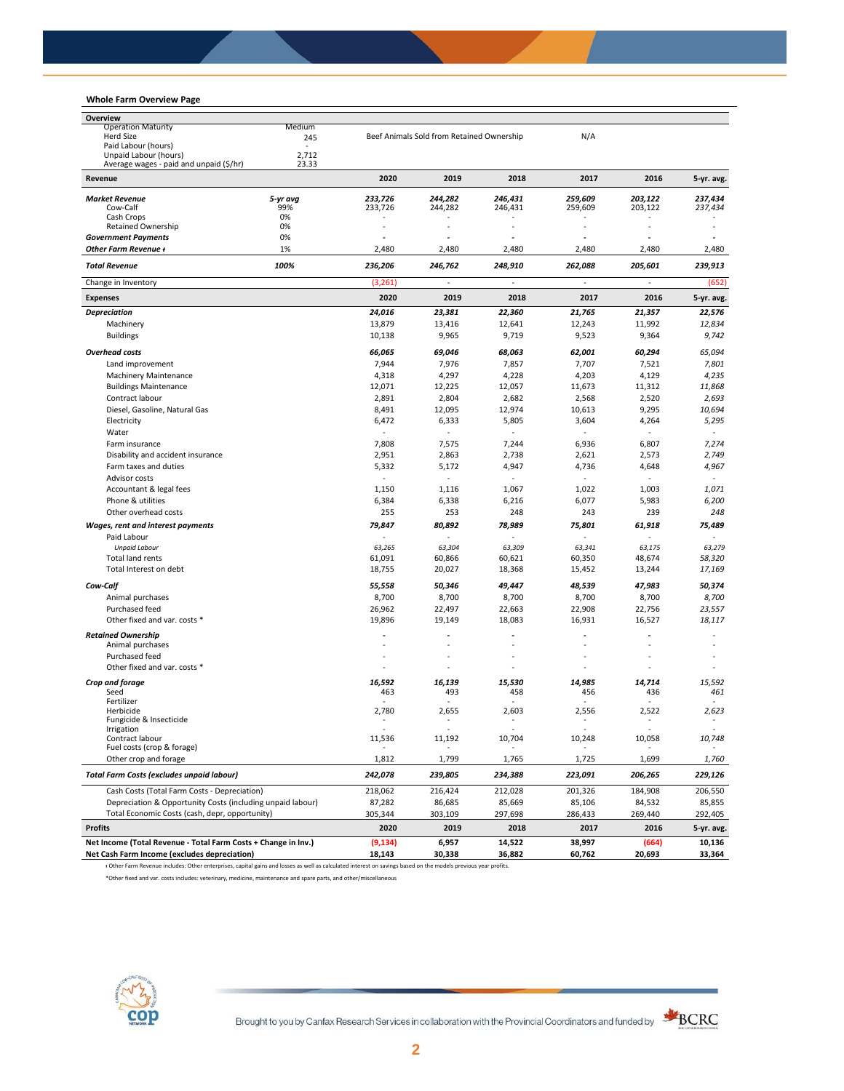## **Whole Farm Overview Page**

| Overview                                                       |          |                                |                                           |               |               |               |               |
|----------------------------------------------------------------|----------|--------------------------------|-------------------------------------------|---------------|---------------|---------------|---------------|
| <b>Operation Maturity</b>                                      | Medium   |                                |                                           |               |               |               |               |
| Herd Size<br>Paid Labour (hours)                               | 245      |                                | Beef Animals Sold from Retained Ownership |               | N/A           |               |               |
| Unpaid Labour (hours)                                          | 2,712    |                                |                                           |               |               |               |               |
| Average wages - paid and unpaid (\$/hr)                        | 23.33    |                                |                                           |               |               |               |               |
| Revenue                                                        |          | 2020                           | 2019                                      | 2018          | 2017          | 2016          | 5-yr. avg.    |
| <b>Market Revenue</b>                                          | 5-yr avg | 233,726                        | 244,282                                   | 246,431       | 259,609       | 203,122       | 237,434       |
| Cow-Calf                                                       | 99%      | 233,726                        | 244,282                                   | 246,431       | 259,609       | 203.122       | 237,434       |
| Cash Crops                                                     | 0%       |                                |                                           |               |               |               |               |
| <b>Retained Ownership</b>                                      | 0%       |                                |                                           |               |               |               |               |
| <b>Government Payments</b><br>Other Farm Revenue +             | 0%<br>1% | $\tilde{\phantom{a}}$<br>2,480 | 2,480                                     | ÷<br>2,480    | ä,<br>2,480   | 2,480         | 2,480         |
| <b>Total Revenue</b>                                           | 100%     | 236,206                        | 246,762                                   | 248,910       | 262,088       | 205,601       | 239,913       |
| Change in Inventory                                            |          | (3, 261)                       |                                           |               | ä,            |               | (652)         |
| <b>Expenses</b>                                                |          | 2020                           | 2019                                      | 2018          | 2017          | 2016          | 5-yr. avg.    |
|                                                                |          | 24,016                         | 23,381                                    | 22,360        | 21,765        | 21,357        | 22,576        |
| <b>Depreciation</b><br>Machinery                               |          | 13,879                         | 13,416                                    | 12,641        | 12,243        | 11,992        | 12,834        |
| <b>Buildings</b>                                               |          | 10,138                         | 9,965                                     | 9,719         | 9,523         | 9,364         | 9,742         |
|                                                                |          |                                |                                           |               |               |               |               |
| <b>Overhead costs</b>                                          |          | 66,065                         | 69,046                                    | 68,063        | 62,001        | 60,294        | 65,094        |
| Land improvement                                               |          | 7,944                          | 7,976                                     | 7,857         | 7,707         | 7,521         | 7,801         |
| <b>Machinery Maintenance</b>                                   |          | 4,318                          | 4,297                                     | 4,228         | 4,203         | 4,129         | 4,235         |
| <b>Buildings Maintenance</b>                                   |          | 12,071                         | 12,225                                    | 12,057        | 11,673        | 11,312        | 11,868        |
| Contract labour                                                |          | 2,891                          | 2,804                                     | 2,682         | 2,568         | 2,520         | 2,693         |
| Diesel, Gasoline, Natural Gas                                  |          | 8,491                          | 12,095                                    | 12.974        | 10,613        | 9,295         | 10,694        |
| Electricity                                                    |          | 6,472                          | 6,333                                     | 5,805         | 3,604         | 4,264         | 5,295         |
| Water                                                          |          | $\sim$                         |                                           | $\sim$        | ٠             | $\sim$        | $\bar{a}$     |
| Farm insurance                                                 |          | 7,808                          | 7,575                                     | 7,244         | 6,936         | 6,807         | 7,274         |
| Disability and accident insurance                              |          | 2,951                          | 2,863                                     | 2,738         | 2,621         | 2,573         | 2,749         |
| Farm taxes and duties                                          |          | 5,332                          | 5,172                                     | 4,947         | 4,736         | 4,648         | 4,967         |
| Advisor costs                                                  |          | $\sim$                         | $\blacksquare$                            | $\bar{a}$     | ÷,            | $\sim$        | $\omega$      |
| Accountant & legal fees                                        |          | 1,150                          | 1,116                                     | 1,067         | 1,022         | 1,003         | 1,071         |
| Phone & utilities                                              |          | 6,384                          | 6,338                                     | 6,216         | 6,077         | 5,983         | 6,200         |
| Other overhead costs                                           |          | 255                            | 253                                       | 248           | 243           | 239           | 248           |
| Wages, rent and interest payments                              |          | 79,847                         | 80,892                                    | 78,989        | 75,801        | 61,918        | 75,489        |
| Paid Labour                                                    |          |                                |                                           |               |               |               |               |
| <b>Unpaid Labour</b>                                           |          | 63,265                         | 63,304                                    | 63,309        | 63,341        | 63,175        | 63,279        |
| Total land rents                                               |          | 61,091                         | 60,866                                    | 60,621        | 60,350        | 48,674        | 58,320        |
| Total Interest on debt                                         |          | 18,755                         | 20,027                                    | 18,368        | 15,452        | 13,244        | 17,169        |
| Cow-Calf                                                       |          | 55,558                         | 50,346                                    | 49,447        | 48,539        | 47,983        | 50,374        |
| Animal purchases                                               |          | 8,700                          | 8,700                                     | 8,700         | 8,700         | 8,700         | 8,700         |
| Purchased feed                                                 |          | 26,962                         | 22,497                                    | 22,663        | 22,908        | 22,756        | 23,557        |
| Other fixed and var. costs *                                   |          | 19,896                         | 19,149                                    | 18,083        | 16,931        | 16,527        | 18,117        |
|                                                                |          |                                |                                           |               |               |               |               |
| <b>Retained Ownership</b><br>Animal purchases                  |          |                                |                                           |               |               |               |               |
| Purchased feed                                                 |          |                                |                                           |               |               |               |               |
| Other fixed and var. costs *                                   |          |                                |                                           |               | ٠             |               |               |
|                                                                |          |                                |                                           |               |               |               |               |
| Crop and forage<br>Seed                                        |          | 16,592<br>463                  | 16,139<br>493                             | 15.530<br>458 | 14,985<br>456 | 14.714<br>436 | 15.592<br>461 |
| Fertilizer                                                     |          |                                |                                           |               |               |               |               |
| Herbicide                                                      |          | 2,780                          | 2,655                                     | 2,603         | 2,556         | 2,522         | 2,623         |
| Fungicide & Insecticide                                        |          |                                |                                           |               |               |               |               |
| Irrigation<br>Contract labour                                  |          | 11,536                         | 11,192                                    | 10,704        | 10,248        | 10,058        | 10,748        |
| Fuel costs (crop & forage)                                     |          |                                |                                           |               |               |               |               |
| Other crop and forage                                          |          | 1,812                          | 1,799                                     | 1,765         | 1,725         | 1,699         | 1,760         |
| <b>Total Farm Costs (excludes unpaid labour)</b>               |          | 242,078                        | 239,805                                   | 234,388       | 223,091       | 206,265       | 229,126       |
| Cash Costs (Total Farm Costs - Depreciation)                   |          | 218,062                        | 216,424                                   | 212,028       | 201,326       | 184,908       | 206,550       |
| Depreciation & Opportunity Costs (including unpaid labour)     |          | 87,282                         | 86,685                                    | 85,669        | 85,106        | 84,532        | 85,855        |
| Total Economic Costs (cash, depr, opportunity)                 |          | 305,344                        | 303,109                                   | 297,698       | 286,433       | 269,440       | 292,405       |
| <b>Profits</b>                                                 |          | 2020                           | 2019                                      | 2018          | 2017          | 2016          | 5-yr. avg.    |
| Net Income (Total Revenue - Total Farm Costs + Change in Inv.) |          | (9, 134)                       | 6,957                                     | 14,522        | 38,997        | (664)         | 10,136        |
| Net Cash Farm Income (excludes depreciation)                   |          | 18,143                         | 30,338                                    | 36,882        | 60,762        | 20,693        | 33,364        |

ᵻ Other Farm Revenue includes: Other enterprises, capital gains and losses as well as calculated interest on savings based on the models previous year profits.

\*Other fixed and var. costs includes: veterinary, medicine, maintenance and spare parts, and other/miscellaneous



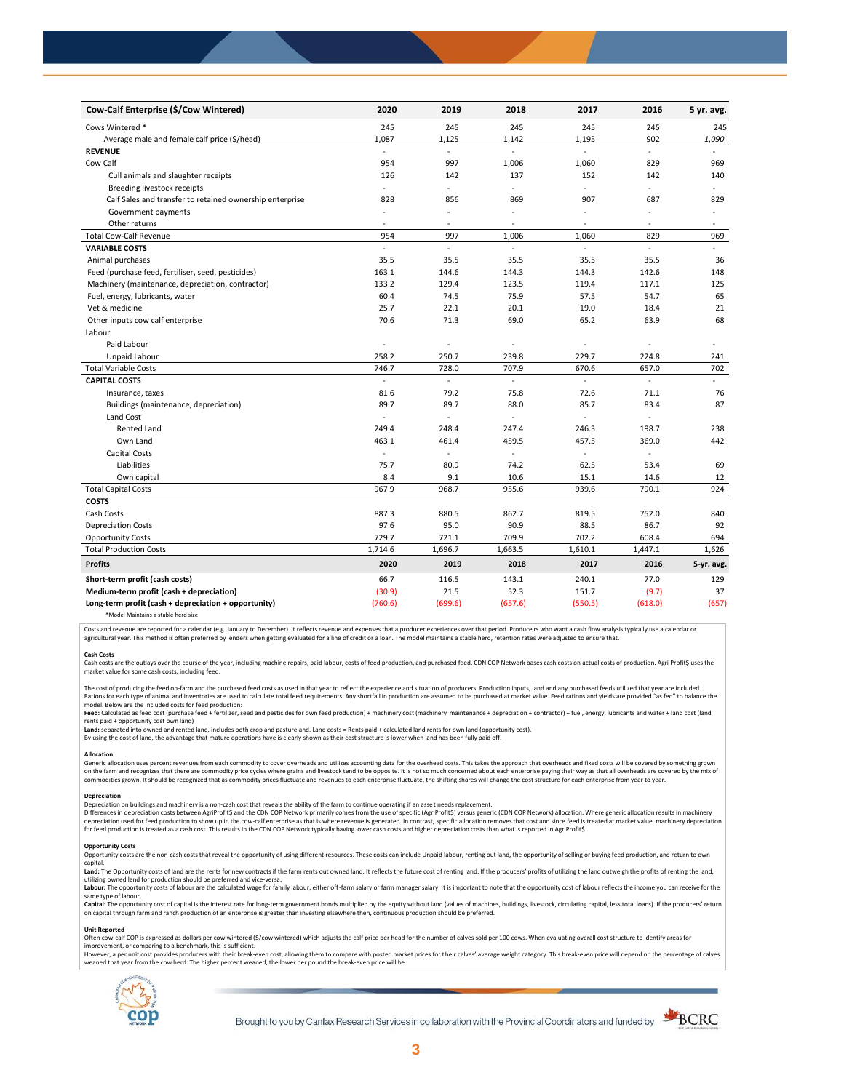| Cow-Calf Enterprise (\$/Cow Wintered)                    | 2020                     | 2019           | 2018                 | 2017                     | 2016     | 5 yr. avg.               |
|----------------------------------------------------------|--------------------------|----------------|----------------------|--------------------------|----------|--------------------------|
| Cows Wintered *                                          | 245                      | 245            | 245                  | 245                      | 245      | 245                      |
| Average male and female calf price (\$/head)             | 1,087                    | 1,125          | 1,142                | 1,195                    | 902      | 1,090                    |
| <b>REVENUE</b>                                           | ÷.                       | L.             | $\mathbb{Z}^2$       | $\overline{a}$           | $\omega$ |                          |
| Cow Calf                                                 | 954                      | 997            | 1,006                | 1,060                    | 829      | 969                      |
| Cull animals and slaughter receipts                      | 126                      | 142            | 137                  | 152                      | 142      | 140                      |
| Breeding livestock receipts                              | $\mathbf{r}$             | $\overline{a}$ | ÷                    | ä,                       | L.       |                          |
| Calf Sales and transfer to retained ownership enterprise | 828                      | 856            | 869                  | 907                      | 687      | 829                      |
| Government payments                                      | ÷,                       | ÷,             | $\ddot{\phantom{1}}$ | $\overline{\phantom{a}}$ | ÷,       | $\overline{\phantom{a}}$ |
| Other returns                                            | ä,                       | ä,             |                      | $\overline{a}$           | ÷,       | $\overline{\phantom{a}}$ |
| <b>Total Cow-Calf Revenue</b>                            | 954                      | 997            | 1,006                | 1,060                    | 829      | 969                      |
| <b>VARIABLE COSTS</b>                                    | L.                       | ä,             | ä,                   | ä,                       | ä,       | $\omega$                 |
| Animal purchases                                         | 35.5                     | 35.5           | 35.5                 | 35.5                     | 35.5     | 36                       |
| Feed (purchase feed, fertiliser, seed, pesticides)       | 163.1                    | 144.6          | 144.3                | 144.3                    | 142.6    | 148                      |
| Machinery (maintenance, depreciation, contractor)        | 133.2                    | 129.4          | 123.5                | 119.4                    | 117.1    | 125                      |
| Fuel, energy, lubricants, water                          | 60.4                     | 74.5           | 75.9                 | 57.5                     | 54.7     | 65                       |
| Vet & medicine                                           | 25.7                     | 22.1           | 20.1                 | 19.0                     | 18.4     | 21                       |
| Other inputs cow calf enterprise                         | 70.6                     | 71.3           | 69.0                 | 65.2                     | 63.9     | 68                       |
| Labour                                                   |                          |                |                      |                          |          |                          |
| Paid Labour                                              | ÷,                       | ä,             | $\ddot{\phantom{1}}$ | ä,                       |          |                          |
| Unpaid Labour                                            | 258.2                    | 250.7          | 239.8                | 229.7                    | 224.8    | 241                      |
| <b>Total Variable Costs</b>                              | 746.7                    | 728.0          | 707.9                | 670.6                    | 657.0    | 702                      |
| <b>CAPITAL COSTS</b>                                     |                          |                |                      |                          |          |                          |
| Insurance, taxes                                         | 81.6                     | 79.2           | 75.8                 | 72.6                     | 71.1     | 76                       |
| Buildings (maintenance, depreciation)                    | 89.7                     | 89.7           | 88.0                 | 85.7                     | 83.4     | 87                       |
| Land Cost                                                | $\sim$                   | ä,             |                      |                          |          |                          |
| <b>Rented Land</b>                                       | 249.4                    | 248.4          | 247.4                | 246.3                    | 198.7    | 238                      |
| Own Land                                                 | 463.1                    | 461.4          | 459.5                | 457.5                    | 369.0    | 442                      |
| <b>Capital Costs</b>                                     | $\overline{\phantom{a}}$ | ÷,             | $\sim$               | $\sim$                   | ٠        |                          |
| Liabilities                                              | 75.7                     | 80.9           | 74.2                 | 62.5                     | 53.4     | 69                       |
| Own capital                                              | 8.4                      | 9.1            | 10.6                 | 15.1                     | 14.6     | 12                       |
| <b>Total Capital Costs</b>                               | 967.9                    | 968.7          | 955.6                | 939.6                    | 790.1    | 924                      |
| <b>COSTS</b>                                             |                          |                |                      |                          |          |                          |
| Cash Costs                                               | 887.3                    | 880.5          | 862.7                | 819.5                    | 752.0    | 840                      |
| <b>Depreciation Costs</b>                                | 97.6                     | 95.0           | 90.9                 | 88.5                     | 86.7     | 92                       |
| <b>Opportunity Costs</b>                                 | 729.7                    | 721.1          | 709.9                | 702.2                    | 608.4    | 694                      |
| <b>Total Production Costs</b>                            | 1,714.6                  | 1,696.7        | 1,663.5              | 1,610.1                  | 1,447.1  | 1,626                    |
| <b>Profits</b>                                           | 2020                     | 2019           | 2018                 | 2017                     | 2016     | 5-yr. avg.               |
| Short-term profit (cash costs)                           | 66.7                     | 116.5          | 143.1                | 240.1                    | 77.0     | 129                      |
| Medium-term profit (cash + depreciation)                 | (30.9)                   | 21.5           | 52.3                 | 151.7                    | (9.7)    | 37                       |
| Long-term profit (cash + depreciation + opportunity)     | (760.6)                  | (699.6)        | (657.6)              | (550.5)                  | (618.0)  | (657)                    |
|                                                          |                          |                |                      |                          |          |                          |

\*Model Maintains a stable herd size

Costs and revenue are reported for a calendar (e.g. January to December). It reflects revenue and expenses that a producer experiences over that period. Produce rs who want a cash flow analysis typically use a calendar or agricultural year. This method is often preferred by lenders when getting evaluated for a line of credit or a loan. The model maintains a stable herd, retention rates were adjusted to ensure that

**Cash Costs**<br>Cash costs are the outlays over the course of the year, including machine repairs, paid labour, costs of feed production, and purchased feed. CDN COP Network bases cash costs on actual costs of production. Agr market value for some cash costs, including feed.

The cost of producing the feed on-farm and the purchased feed costs as used in that year to reflect the experience and situation of producers. Production inputs, land and any purchased feeds utilized that year are included model. Below are the included costs for feed production:

moder.com/what we musule control feed + fertilizer, seed and pesticides for own feed production) + machinery cost (machinery maintenance + depreciation + contractor) + fuel, energy, lubricants and water + land cost (land rents paid + opportunity cost own land)

**Land:** separated into owned and rented land, includes both crop and pastureland. Land costs = Rents paid + calculated land rents for own land (opportunity cost).

By using the cost of land, the advantage that mature operations have is clearly shown as their cost structure is lower when land has been fully paid off.

### **Allocation**

Generic allocation uses percent revenues from each commodity to cover overheads and utilizes accounting data for the overhead costs. This takes the approach that overheads and fixed costs will be covered by something grown commodities grown. It should be recognized that as commodity prices fluctuate and revenues to each enterprise fluctuate, the shifting shares will change the cost structure for each enterprise from year to year.

## **Depreciation**

Depreciation on buildings and machinery is a non-cash cost that reveals the ability of the farm to continue operating if an asset needs replacement. Differences in depreciation costs between AgriProfit\$ and the CDN COP Network primarily comes from the use of specific (AgriProfit\$) versus generic (CDN COP Network) allocation. Where generic allocation results in machiner

### **Opportunity Costs**

Provision the non-cash costs that reveal the opportunity of using different resources. These costs can include Unpaid labour, renting out land, the opportunity of selling or buying feed production, and return to own capital.

Land: The Opportunity costs of land are the rents for new contracts if the farm rents out owned land. It reflects the future cost of renting land. If the producers' profits of utilizing the land outweigh the profits of ren utilizing owned land for production should be preferred and vice-versa.<br>**Labour:** The opportunity costs of labour are the calculated wage for family labour, either off-farm salary or farm manager salary. It is important to

same type of labour.

**Capita**l: The opportunity cost of capital is the interest rate for long-term government bonds multiplied by the equity without land (values of machines, buildings, livestock, circulating capital, less total loans). If the

## **Unit Reported**

Often cow-calf COP is expressed as dollars per cow wintered (\$/cow wintered) which adjusts the calf price per head for the number of calves sold per 100 cows. When evaluating overall cost structure to identify areas for<br>im

however..experimation to the content with the relationship of the break-even cost. allowing them to compare with posted market prices for their calves' average weight category. This break-even price will depend on the perc weaned that year from the cow herd. The higher percent weaned, the lower per pound the break-even price will be.



Brought to you by Canfax Research Services in collaboration with the Provincial Coordinators and funded by